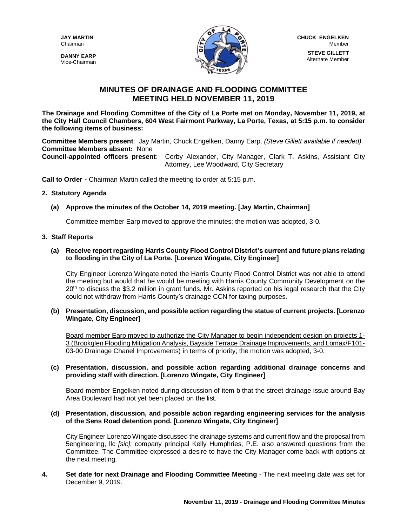**DANNY EARP** Vice-Chairman



# **MINUTES OF DRAINAGE AND FLOODING COMMITTEE MEETING HELD NOVEMBER 11, 2019**

**The Drainage and Flooding Committee of the City of La Porte met on Monday, November 11, 2019, at the City Hall Council Chambers, 604 West Fairmont Parkway, La Porte, Texas, at 5:15 p.m. to consider the following items of business:**

**Committee Members present**: Jay Martin, Chuck Engelken, Danny Earp, *(Steve Gillett available if needed)* **Committee Members absent:** None

**Council-appointed officers present**: Corby Alexander, City Manager, Clark T. Askins, Assistant City Attorney, Lee Woodward, City Secretary

**Call to Order** - Chairman Martin called the meeting to order at 5:15 p.m.

## **2. Statutory Agenda**

**(a) Approve the minutes of the October 14, 2019 meeting. [Jay Martin, Chairman]**

Committee member Earp moved to approve the minutes; the motion was adopted, 3-0.

#### **3. Staff Reports**

**(a) Receive report regarding Harris County Flood Control District's current and future plans relating to flooding in the City of La Porte. [Lorenzo Wingate, City Engineer]**

City Engineer Lorenzo Wingate noted the Harris County Flood Control District was not able to attend the meeting but would that he would be meeting with Harris County Community Development on the 20<sup>th</sup> to discuss the \$3.2 million in grant funds. Mr. Askins reported on his legal research that the City could not withdraw from Harris County's drainage CCN for taxing purposes.

**(b) Presentation, discussion, and possible action regarding the statue of current projects. [Lorenzo Wingate, City Engineer]**

Board member Earp moved to authorize the City Manager to begin independent design on projects 1- 3 (Brookglen Flooding Mitigation Analysis, Bayside Terrace Drainage Improvements, and Lomax/F101- 03-00 Drainage Chanel Improvements) in terms of priority; the motion was adopted, 3-0.

## **(c) Presentation, discussion, and possible action regarding additional drainage concerns and providing staff with direction. [Lorenzo Wingate, City Engineer]**

Board member Engelken noted during discussion of item b that the street drainage issue around Bay Area Boulevard had not yet been placed on the list.

#### **(d) Presentation, discussion, and possible action regarding engineering services for the analysis of the Sens Road detention pond. [Lorenzo Wingate, City Engineer]**

City Engineer Lorenzo Wingate discussed the drainage systems and current flow and the proposal from 5engineering, llc *[sic]*; company principal Kelly Humphries, P.E. also answered questions from the Committee. The Committee expressed a desire to have the City Manager come back with options at the next meeting.

**4. Set date for next Drainage and Flooding Committee Meeting** - The next meeting date was set for December 9, 2019.